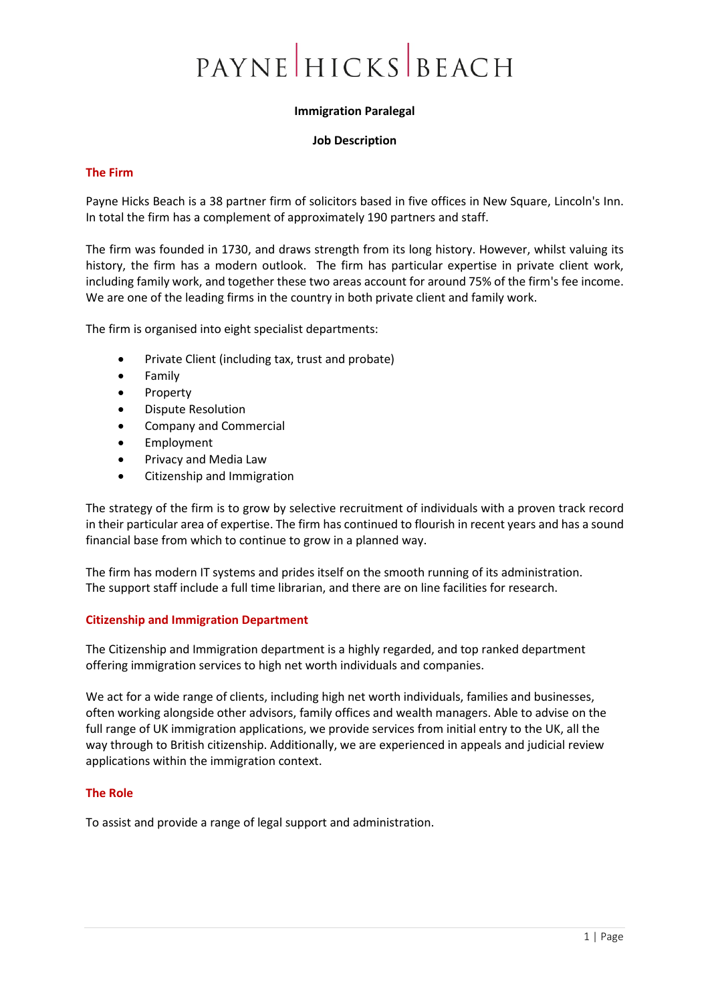# PAYNE HICKS BEACH

## **Immigration Paralegal**

#### **Job Description**

## **The Firm**

Payne Hicks Beach is a 38 partner firm of solicitors based in five offices in New Square, Lincoln's Inn. In total the firm has a complement of approximately 190 partners and staff.

The firm was founded in 1730, and draws strength from its long history. However, whilst valuing its history, the firm has a modern outlook. The firm has particular expertise in private client work, including family work, and together these two areas account for around 75% of the firm's fee income. We are one of the leading firms in the country in both private client and family work.

The firm is organised into eight specialist departments:

- Private Client (including tax, trust and probate)
- Family
- **Property**
- Dispute Resolution
- Company and Commercial
- **Employment**
- Privacy and Media Law
- Citizenship and Immigration

The strategy of the firm is to grow by selective recruitment of individuals with a proven track record in their particular area of expertise. The firm has continued to flourish in recent years and has a sound financial base from which to continue to grow in a planned way.

The firm has modern IT systems and prides itself on the smooth running of its administration. The support staff include a full time librarian, and there are on line facilities for research.

## **Citizenship and Immigration Department**

The Citizenship and Immigration department is a highly regarded, and top ranked department offering immigration services to high net worth individuals and companies.

We act for a wide range of clients, including high net worth individuals, families and businesses, often working alongside other advisors, family offices and wealth managers. Able to advise on the full range of UK immigration applications, we provide services from initial entry to the UK, all the way through to British citizenship. Additionally, we are experienced in appeals and judicial review applications within the immigration context.

## **The Role**

To assist and provide a range of legal support and administration.